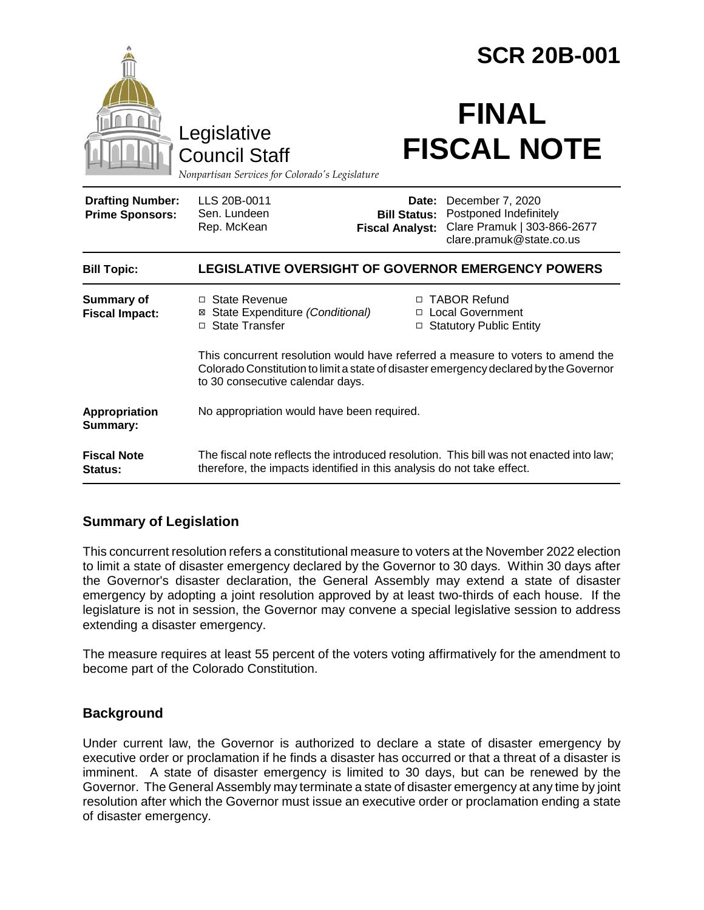|                                                   |                                                                                                                                                                                                              |                                               | <b>SCR 20B-001</b>                                                                                          |  |
|---------------------------------------------------|--------------------------------------------------------------------------------------------------------------------------------------------------------------------------------------------------------------|-----------------------------------------------|-------------------------------------------------------------------------------------------------------------|--|
|                                                   | Legislative<br><b>Council Staff</b><br>Nonpartisan Services for Colorado's Legislature                                                                                                                       |                                               | <b>FINAL</b><br><b>FISCAL NOTE</b>                                                                          |  |
| <b>Drafting Number:</b><br><b>Prime Sponsors:</b> | LLS 20B-0011<br>Sen. Lundeen<br>Rep. McKean                                                                                                                                                                  | <b>Bill Status:</b><br><b>Fiscal Analyst:</b> | Date: December 7, 2020<br>Postponed Indefinitely<br>Clare Pramuk   303-866-2677<br>clare.pramuk@state.co.us |  |
| <b>Bill Topic:</b>                                | <b>LEGISLATIVE OVERSIGHT OF GOVERNOR EMERGENCY POWERS</b>                                                                                                                                                    |                                               |                                                                                                             |  |
| <b>Summary of</b><br><b>Fiscal Impact:</b>        | □ State Revenue<br>⊠ State Expenditure (Conditional)<br>□ State Transfer                                                                                                                                     |                                               | □ TABOR Refund<br>□ Local Government<br>□ Statutory Public Entity                                           |  |
|                                                   | This concurrent resolution would have referred a measure to voters to amend the<br>Colorado Constitution to limit a state of disaster emergency declared by the Governor<br>to 30 consecutive calendar days. |                                               |                                                                                                             |  |
| Appropriation<br>Summary:                         | No appropriation would have been required.                                                                                                                                                                   |                                               |                                                                                                             |  |
| <b>Fiscal Note</b><br>Status:                     | The fiscal note reflects the introduced resolution. This bill was not enacted into law;<br>therefore, the impacts identified in this analysis do not take effect.                                            |                                               |                                                                                                             |  |

# **Summary of Legislation**

This concurrent resolution refers a constitutional measure to voters at the November 2022 election to limit a state of disaster emergency declared by the Governor to 30 days. Within 30 days after the Governor's disaster declaration, the General Assembly may extend a state of disaster emergency by adopting a joint resolution approved by at least two-thirds of each house. If the legislature is not in session, the Governor may convene a special legislative session to address extending a disaster emergency.

The measure requires at least 55 percent of the voters voting affirmatively for the amendment to become part of the Colorado Constitution.

# **Background**

Under current law, the Governor is authorized to declare a state of disaster emergency by executive order or proclamation if he finds a disaster has occurred or that a threat of a disaster is imminent. A state of disaster emergency is limited to 30 days, but can be renewed by the Governor. The General Assembly may terminate a state of disaster emergency at any time by joint resolution after which the Governor must issue an executive order or proclamation ending a state of disaster emergency.